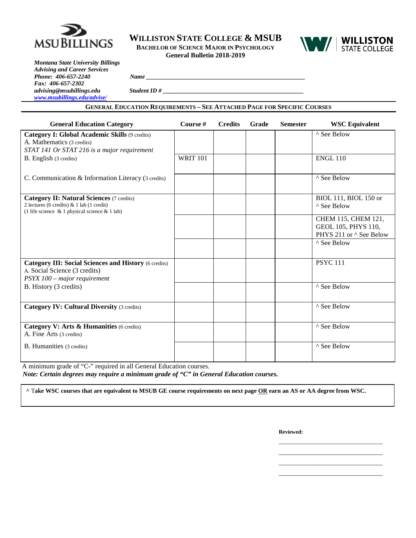

**WILLISTON STATE COLLEGE & MSUB BACHELOR OF SCIENCE MAJOR IN PSYCHOLOGY General Bulletin 2018-2019**



*Montana State University Billings Advising and Career Services Phone:* 406-657-2240 *Fax: 406-657-2302*  $advising@msubillings.edu$ *[www.msubillings.edu/advise/](http://www.msubillings.edu/advise/)*

| Name        |  |  |  |
|-------------|--|--|--|
| Student ID# |  |  |  |

**GENERAL EDUCATION REQUIREMENTS – SEE ATTACHED PAGE FOR SPECIFIC COURSES**

| <b>General Education Category</b>                                                                                                                | Course #        | <b>Credits</b> | Grade | <b>Semester</b> | <b>WSC Equivalent</b>                                                        |
|--------------------------------------------------------------------------------------------------------------------------------------------------|-----------------|----------------|-------|-----------------|------------------------------------------------------------------------------|
| Category I: Global Academic Skills (9 credits)<br>A. Mathematics (3 credits)<br>STAT 141 Or STAT 216 is a major requirement                      |                 |                |       |                 | ^ See Below                                                                  |
| B. English (3 credits)                                                                                                                           | <b>WRIT 101</b> |                |       |                 | <b>ENGL 110</b>                                                              |
| C. Communication & Information Literacy (3 credits)                                                                                              |                 |                |       |                 | ^ See Below                                                                  |
| <b>Category II: Natural Sciences (7 credits)</b><br>2 lectures (6 credits) $& 1$ lab (1 credit)<br>(1 life science & 1 physical science & 1 lab) |                 |                |       |                 | BIOL 111, BIOL 150 or<br>^ See Below                                         |
|                                                                                                                                                  |                 |                |       |                 | CHEM 115, CHEM 121,<br>GEOL 105, PHYS 110,<br>PHYS 211 or $\wedge$ See Below |
|                                                                                                                                                  |                 |                |       |                 | ^ See Below                                                                  |
| <b>Category III: Social Sciences and History (6 credits)</b><br>A. Social Science (3 credits)<br>PSYX 100 - major requirement                    |                 |                |       |                 | <b>PSYC 111</b>                                                              |
| B. History (3 credits)                                                                                                                           |                 |                |       |                 | ^ See Below                                                                  |
| <b>Category IV: Cultural Diversity (3 credits)</b>                                                                                               |                 |                |       |                 | ^ See Below                                                                  |
| Category V: Arts & Humanities (6 credits)<br>A. Fine Arts (3 credits)                                                                            |                 |                |       |                 | ^ See Below                                                                  |
| B. Humanities (3 credits)                                                                                                                        |                 |                |       |                 | ^ See Below                                                                  |

A minimum grade of "C-" required in all General Education courses. *Note: Certain degrees may require a minimum grade of "C" in General Education courses.*

**^** T**ake WSC courses that are equivalent to MSUB GE course requirements on next page OR earn an AS or AA degree from WSC.**

**Reviewed:**

\_\_\_\_\_\_\_\_\_\_\_\_\_\_\_\_\_\_\_\_\_\_\_\_\_\_\_\_\_\_\_\_\_\_ \_\_\_\_\_\_\_\_\_\_\_\_\_\_\_\_\_\_\_\_\_\_\_\_\_\_\_\_\_\_\_\_\_\_

\_\_\_\_\_\_\_\_\_\_\_\_\_\_\_\_\_\_\_\_\_\_\_\_\_\_\_\_\_\_\_\_\_\_

\_\_\_\_\_\_\_\_\_\_\_\_\_\_\_\_\_\_\_\_\_\_\_\_\_\_\_\_\_\_\_\_\_\_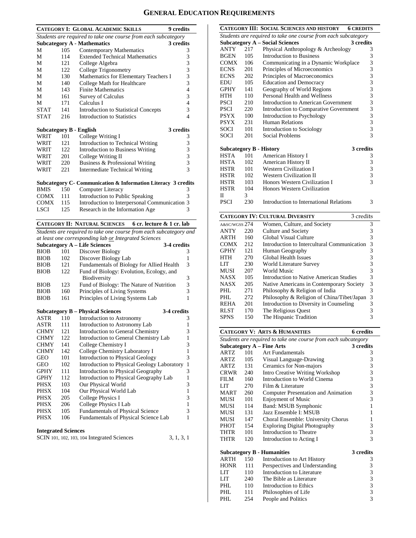# **GENERAL EDUCATION REQUIREMENTS**

|             |     | <b>CATEGORY I: GLOBAL ACADEMIC SKILLS</b><br><b>9</b> credits      |              |
|-------------|-----|--------------------------------------------------------------------|--------------|
|             |     | Students are required to take one course from each subcategory     |              |
|             |     | <b>Subcategory A - Mathematics</b><br>3 credits                    |              |
| М           | 105 | <b>Contemporary Mathematics</b>                                    | 3            |
| М           | 114 | <b>Extended Technical Mathematics</b>                              | 3            |
| М           | 121 | College Algebra                                                    | 3            |
| М           | 122 | College Trigonometry                                               | 3            |
| М           | 130 | Mathematics for Elementary Teachers I                              | 3            |
| М           | 140 | College Math for Healthcare                                        | 3            |
| М           | 143 | <b>Finite Mathematics</b>                                          | 4            |
| М           | 161 | <b>Survey of Calculus</b>                                          | 3            |
| М           | 171 | Calculus I                                                         | 4            |
| <b>STAT</b> | 141 | <b>Introduction to Statistical Concepts</b>                        | 3            |
| <b>STAT</b> | 216 | <b>Introduction to Statistics</b>                                  | 4            |
|             |     | <b>Subcategory B - English</b><br>3 credits                        |              |
| WRIT        | 101 | College Writing I                                                  | 3            |
| WRIT        | 121 | Introduction to Technical Writing                                  | 3            |
| WRIT        | 122 | Introduction to Business Writing                                   | 3            |
| WRIT        | 201 | College Writing II                                                 | 3            |
| WRIT        | 220 | Business & Professional Writing                                    | 3            |
| WRIT        | 221 | <b>Intermediate Technical Writing</b>                              | 3            |
|             |     |                                                                    |              |
|             |     | Subcategory C- Communication & Information Literacy 3 credits      |              |
| <b>BMIS</b> | 150 | Computer Literacy                                                  | 3            |
| COMX        | 111 | Introduction to Public Speaking                                    | 3            |
| <b>COMX</b> | 115 | Introduction to Interpersonal Communication 3                      |              |
| LSCI        | 125 | Research in the Information Age                                    | 3            |
|             |     | <b>CATEGORY II: NATURAL SCIENCES</b><br>6 cr. lecture & 1 cr. lab  |              |
|             |     | Students are required to take one course from each subcategory and |              |
|             |     | at least one corresponding lab or Integrated Sciences              |              |
|             |     | <b>Subcategory A - Life Sciences</b><br>3-4 credits                |              |
| <b>BIOB</b> | 101 | Discover Biology                                                   | 3            |
| <b>BIOB</b> | 102 | Discover Biology Lab                                               | 1            |
| <b>BIOB</b> | 121 | Fundamentals of Biology for Allied Health                          | 3            |
| <b>BIOB</b> | 122 | Fund of Biology: Evolution, Ecology, and                           |              |
|             |     | Biodiversity                                                       | 3            |
| <b>BIOB</b> | 123 | Fund of Biology: The Nature of Nutrition                           | 3            |
| <b>BIOB</b> | 160 | Principles of Living Systems                                       | 3            |
| <b>BIOB</b> | 161 | Principles of Living Systems Lab                                   | 1            |
|             |     | <b>Subcategory B - Physical Sciences</b><br>3-4 credits            |              |
| ASTR        | 110 | Introduction to Astronomy                                          | 3            |
| <b>ASTR</b> | 111 | Introduction to Astronomy Lab                                      | $\,1$        |
| <b>CHMY</b> | 121 | Introduction to General Chemistry                                  | 3            |
| CHMY        | 122 | Introduction to General Chemistry Lab                              | 1            |
| CHMY        | 141 | College Chemistry I                                                | 3            |
| <b>CHMY</b> | 142 | College Chemistry Laboratory I                                     | 1            |
| GEO         | 101 | Introduction to Physical Geology                                   | 3            |
| <b>GEO</b>  | 102 | Introduction to Physical Geology Laboratory                        | $\mathbf{1}$ |
| GPHY        | 111 | Introduction to Physical Geography                                 | 3            |
| GPHY        | 112 | Introduction to Physical Geography Lab                             | 1            |
| <b>PHSX</b> | 103 | Our Physical World                                                 | 3            |

| <b>PHSX</b> | 103 | Our Physical World                      | 3 |
|-------------|-----|-----------------------------------------|---|
| <b>PHSX</b> | 104 | Our Physical World Lab                  | 1 |
| <b>PHSX</b> | 205 | College Physics I                       | 3 |
| <b>PHSX</b> | 206 | College Physics I Lab                   |   |
| <b>PHSX</b> | 105 | <b>Fundamentals of Physical Science</b> | 3 |
| <b>PHSX</b> | 106 | Fundamentals of Physical Science Lab    |   |
|             |     |                                         |   |
|             |     |                                         |   |

| <b>Integrated Sciences</b> |
|----------------------------|
|                            |

| SCIN 101, 102, 103, 104 Integrated Sciences |  | 3, 1, 3, 1 |  |  |
|---------------------------------------------|--|------------|--|--|
|---------------------------------------------|--|------------|--|--|

|             |      | <b>CATEGORY III: SOCIAL SCIENCES AND HISTORY</b><br><b>6 CREDITS</b> |                |  |  |
|-------------|------|----------------------------------------------------------------------|----------------|--|--|
|             |      | Students are required to take one course from each subcategory       |                |  |  |
|             |      | <b>Subcategory A – Social Sciences</b><br>3 credits                  |                |  |  |
| <b>ANTY</b> | 2.17 | Physical Anthropology & Archeology                                   | 3              |  |  |
| <b>BGEN</b> | 105  | <b>Introduction to Business</b>                                      |                |  |  |
| <b>COMX</b> | 106  | 333333333333<br>Communicating in a Dynamic Workplace                 |                |  |  |
| <b>ECNS</b> | 201  | Principles of Microeconomics                                         |                |  |  |
| <b>ECNS</b> | 202  | Principles of Macroeconomics                                         |                |  |  |
| EDU         | 105  | <b>Education and Democracy</b>                                       |                |  |  |
| <b>GPHY</b> | 141  | Geography of World Regions                                           |                |  |  |
| <b>HTH</b>  | 110  | Personal Health and Wellness                                         |                |  |  |
| <b>PSCI</b> | 210  | Introduction to American Government                                  |                |  |  |
| <b>PSCI</b> | 220  | Introduction to Comparative Government                               |                |  |  |
| <b>PSYX</b> | 100  | Introduction to Psychology                                           |                |  |  |
| <b>PSYX</b> | 231  | <b>Human Relations</b>                                               |                |  |  |
| SOCI        | 101  | Introduction to Sociology                                            |                |  |  |
| SOCI        | 201  | Social Problems                                                      | $\overline{3}$ |  |  |
|             |      | <b>Subcategory B - History</b>                                       | 3 credits      |  |  |
| <b>HSTA</b> | 101  | American History I                                                   | 3              |  |  |
| <b>HSTA</b> | 102  | American History II                                                  |                |  |  |
| <b>HSTR</b> | 101  | <b>Western Civilization I</b>                                        | $\frac{3}{3}$  |  |  |
| <b>HSTR</b> | 102  | <b>Western Civilization II</b>                                       | $\frac{3}{3}$  |  |  |
| <b>HSTR</b> | 103  | Honors Western Civilization I                                        |                |  |  |
| <b>HSTR</b> | 104  | Honors Western Civilization                                          |                |  |  |
| П           | 3    |                                                                      |                |  |  |
| <b>PSCI</b> | 230  | Introduction to International Relations                              | 3              |  |  |

| <b>CATEGORY IV: CULTURAL DIVERSITY</b><br>3 credits |     |                                             |   |  |  |
|-----------------------------------------------------|-----|---------------------------------------------|---|--|--|
| A&SC/WGSS 274                                       |     | Women, Culture, and Society                 | 3 |  |  |
| <b>ANTY</b>                                         | 220 | Culture and Society                         | 3 |  |  |
| <b>ARTH</b>                                         | 160 | Global Visual Culture                       | 3 |  |  |
| <b>COMX</b>                                         | 212 | Introduction to Intercultural Communication | 3 |  |  |
| <b>GPHY</b>                                         | 121 | Human Geography                             | 3 |  |  |
| <b>HTH</b>                                          | 270 | Global Health Issues                        | 3 |  |  |
| LIT                                                 | 230 | World Literature Survey                     | 3 |  |  |
| <b>MUSI</b>                                         | 207 | World Music                                 | 3 |  |  |
| <b>NASX</b>                                         | 105 | Introduction to Native American Studies     | 3 |  |  |
| <b>NASX</b>                                         | 205 | Native Americans in Contemporary Society    | 3 |  |  |
| PHL                                                 | 271 | Philosophy & Religion of India              | 3 |  |  |
| PHL                                                 | 272 | Philosophy & Religion of China/Tibet/Japan  | 3 |  |  |
| <b>REHA</b>                                         | 201 | Introduction to Diversity in Counseling     | 3 |  |  |
| <b>RLST</b>                                         | 170 | The Religious Quest                         | 3 |  |  |
| <b>SPNS</b>                                         | 150 | The Hispanic Tradition                      | 3 |  |  |

|             |     | <b>CATEGORY V: ARTS &amp; HUMANITIES</b>                       | <b>6</b> credits |
|-------------|-----|----------------------------------------------------------------|------------------|
|             |     | Students are required to take one course from each subcategory |                  |
|             |     | <b>Subcategory A - Fine Arts</b>                               | 3 credits        |
| <b>ARTZ</b> | 101 | Art Fundamentals                                               | 3                |
| <b>ARTZ</b> | 105 | Visual Language-Drawing                                        | 3                |
| ARTZ.       | 131 | Ceramics for Non-majors                                        | 3                |
| CRWR        | 240 | <b>Intro Creative Writing Workshop</b>                         | 3                |
| FILM        | 160 | Introduction to World Cinema                                   | 3                |
| LIT.        | 270 | Film $&$ Literature                                            | 3                |
| MART        | 260 | Computer Presentation and Animation                            | 3                |
| <b>MUSI</b> | 101 | <b>Enjoyment of Music</b>                                      | 3                |
| MUSI        | 114 | Band: MSUB Symphonic                                           | $\mathbf{1}$     |
| MUSI        | 131 | Jazz Ensemble I: MSUB                                          | 1                |
| MUSI        | 147 | Choral Ensemble: University Chorus                             | 1                |
| PHOT        | 154 | <b>Exploring Digital Photography</b>                           | 3                |
| THTR        | 101 | Introduction to Theatre                                        | 3                |
| THTR        | 120 | Introduction to Acting I                                       | 3                |
|             |     | <b>Subcategory B - Humanities</b>                              | 3 credits        |
| <b>ARTH</b> | 150 | Introduction to Art History                                    | 3                |
| <b>HONR</b> | 111 | Perspectives and Understanding                                 | 3                |
| <b>LIT</b>  | 110 | Introduction to Literature                                     | 3                |
| LIT.        | 240 | The Bible as Literature                                        | 3                |
| PHL         | 110 | Introduction to Ethics                                         | 3                |
| PHI.        | 111 | Philosophies of Life                                           | 3                |
| PHL         | 254 | People and Politics                                            | $\overline{3}$   |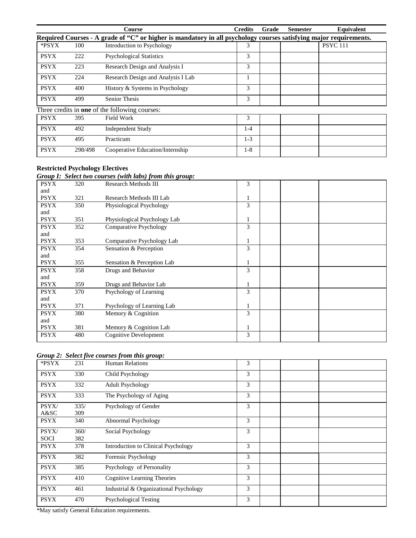|             |         | <b>Course</b>                                                                                                     | <b>Credits</b> | Grade | <b>Semester</b> | Equivalent      |
|-------------|---------|-------------------------------------------------------------------------------------------------------------------|----------------|-------|-----------------|-----------------|
|             |         | Required Courses - A grade of "C" or higher is mandatory in all psychology courses satisfying major requirements. |                |       |                 |                 |
| *PSYX       | 100     | Introduction to Psychology                                                                                        | 3              |       |                 | <b>PSYC</b> 111 |
| <b>PSYX</b> | 222     | <b>Psychological Statistics</b>                                                                                   | 3              |       |                 |                 |
| <b>PSYX</b> | 223     | Research Design and Analysis I                                                                                    | 3              |       |                 |                 |
| <b>PSYX</b> | 224     | Research Design and Analysis I Lab                                                                                |                |       |                 |                 |
| <b>PSYX</b> | 400     | History & Systems in Psychology                                                                                   | 3              |       |                 |                 |
| <b>PSYX</b> | 499     | <b>Senior Thesis</b>                                                                                              | 3              |       |                 |                 |
|             |         | Three credits in <b>one</b> of the following courses:                                                             |                |       |                 |                 |
| <b>PSYX</b> | 395     | Field Work                                                                                                        | 3              |       |                 |                 |
| <b>PSYX</b> | 492     | <b>Independent Study</b>                                                                                          | $1-4$          |       |                 |                 |
| <b>PSYX</b> | 495     | Practicum                                                                                                         | $1-3$          |       |                 |                 |
| <b>PSYX</b> | 298/498 | Cooperative Education/Internship                                                                                  | $1-8$          |       |                 |                 |

### **Restricted Psychology Electives**

#### *Group I: Select two courses (with labs) from this group:*

|             |     | $\frac{1}{2}$ out the composition $\frac{1}{2}$ and $\frac{1}{2}$ and $\frac{1}{2}$ and $\frac{1}{2}$ and $\frac{1}{2}$ |   |  |
|-------------|-----|-------------------------------------------------------------------------------------------------------------------------|---|--|
| <b>PSYX</b> | 320 | <b>Research Methods III</b>                                                                                             | 3 |  |
| and         |     |                                                                                                                         |   |  |
| <b>PSYX</b> | 321 | Research Methods III Lab                                                                                                |   |  |
| <b>PSYX</b> | 350 | Physiological Psychology                                                                                                | 3 |  |
| and         |     |                                                                                                                         |   |  |
| <b>PSYX</b> | 351 | Physiological Psychology Lab                                                                                            |   |  |
| <b>PSYX</b> | 352 | Comparative Psychology                                                                                                  | 3 |  |
| and         |     |                                                                                                                         |   |  |
| <b>PSYX</b> | 353 | Comparative Psychology Lab                                                                                              |   |  |
| <b>PSYX</b> | 354 | Sensation & Perception                                                                                                  | 3 |  |
| and         |     |                                                                                                                         |   |  |
| <b>PSYX</b> | 355 | Sensation & Perception Lab                                                                                              |   |  |
| <b>PSYX</b> | 358 | Drugs and Behavior                                                                                                      | 3 |  |
| and         |     |                                                                                                                         |   |  |
| <b>PSYX</b> | 359 | Drugs and Behavior Lab                                                                                                  |   |  |
| <b>PSYX</b> | 370 | Psychology of Learning                                                                                                  | 3 |  |
| and         |     |                                                                                                                         |   |  |
| <b>PSYX</b> | 371 | Psychology of Learning Lab                                                                                              |   |  |
| <b>PSYX</b> | 380 | Memory & Cognition                                                                                                      | 3 |  |
| and         |     |                                                                                                                         |   |  |
| <b>PSYX</b> | 381 | Memory & Cognition Lab                                                                                                  |   |  |
| <b>PSYX</b> | 480 | <b>Cognitive Development</b>                                                                                            | 3 |  |
|             |     |                                                                                                                         |   |  |

### *Group 2: Select five courses from this group:*

| *PSYX       | 231  | <b>Human Relations</b>                 | 3 |  |
|-------------|------|----------------------------------------|---|--|
| <b>PSYX</b> | 330  | Child Psychology                       | 3 |  |
| <b>PSYX</b> | 332  | <b>Adult Psychology</b>                | 3 |  |
| <b>PSYX</b> | 333  | The Psychology of Aging                | 3 |  |
| PSYX/       | 335/ | Psychology of Gender                   | 3 |  |
| A&SC        | 309  |                                        |   |  |
| <b>PSYX</b> | 340  | Abnormal Psychology                    | 3 |  |
| PSYX/       | 360/ | Social Psychology                      | 3 |  |
| <b>SOCI</b> | 382  |                                        |   |  |
| <b>PSYX</b> | 378  | Introduction to Clinical Psychology    | 3 |  |
| <b>PSYX</b> | 382  | Forensic Psychology                    | 3 |  |
| <b>PSYX</b> | 385  | Psychology of Personality              | 3 |  |
| <b>PSYX</b> | 410  | <b>Cognitive Learning Theories</b>     | 3 |  |
| <b>PSYX</b> | 461  | Industrial & Organizational Psychology | 3 |  |
| <b>PSYX</b> | 470  | <b>Psychological Testing</b>           | 3 |  |

\*May satisfy General Education requirements.